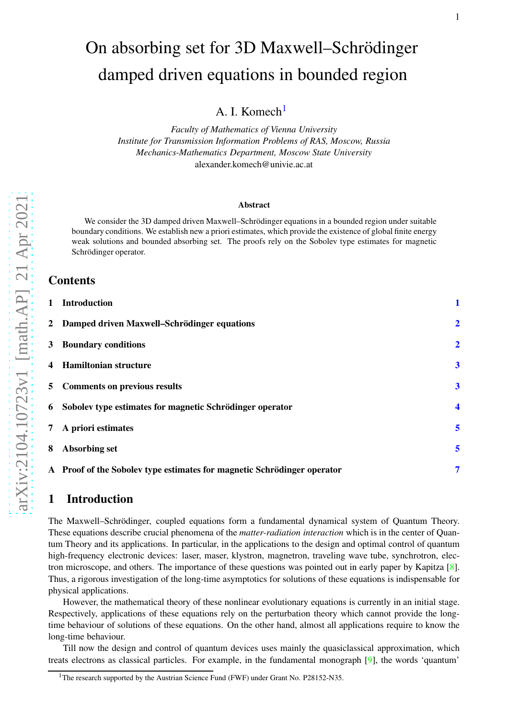# On absorbing set for 3D Maxwell–Schrödinger damped driven equations in bounded region

A. I. Komech<sup>[1](#page-0-0)</sup>

*Faculty of Mathematics of Vienna University Institute for Transmission Information Problems of RAS, Moscow, Russia Mechanics-Mathematics Department, Moscow State University* alexander.komech@univie.ac.at

#### Abstract

We consider the 3D damped driven Maxwell–Schrödinger equations in a bounded region under suitable boundary conditions. We establish new a priori estimates, which provide the existence of global finite energy weak solutions and bounded absorbing set. The proofs rely on the Sobolev type estimates for magnetic Schrödinger operator.

### **Contents**

| 1 Introduction                                                          |                         |
|-------------------------------------------------------------------------|-------------------------|
| 2 Damped driven Maxwell-Schrödinger equations                           | $\overline{2}$          |
| 3 Boundary conditions                                                   | $\overline{2}$          |
| 4 Hamiltonian structure                                                 | $\boldsymbol{3}$        |
| 5 Comments on previous results                                          | $\overline{\mathbf{3}}$ |
| 6 Sobolev type estimates for magnetic Schrödinger operator              | $\overline{\mathbf{4}}$ |
| 7 A priori estimates                                                    | 5                       |
| 8 Absorbing set                                                         | 5                       |
| A Proof of the Sobolev type estimates for magnetic Schrödinger operator | 7                       |

# <span id="page-0-1"></span>1 Introduction

The Maxwell–Schrödinger, coupled equations form a fundamental dynamical system of Quantum Theory. These equations describe crucial phenomena of the *matter-radiation interaction* which is in the center of Quantum Theory and its applications. In particular, in the applications to the design and optimal control of quantum high-frequency electronic devices: laser, maser, klystron, magnetron, traveling wave tube, synchrotron, electron microscope, and others. The importance of these questions was pointed out in early paper by Kapitza [\[8\]](#page-8-0). Thus, a rigorous investigation of the long-time asymptotics for solutions of these equations is indispensable for physical applications.

However, the mathematical theory of these nonlinear evolutionary equations is currently in an initial stage. Respectively, applications of these equations rely on the perturbation theory which cannot provide the longtime behaviour of solutions of these equations. On the other hand, almost all applications require to know the long-time behaviour.

Till now the design and control of quantum devices uses mainly the quasiclassical approximation, which treats electrons as classical particles. For example, in the fundamental monograph [ [9\]](#page-8-1), the words 'quantum'

<span id="page-0-0"></span><sup>&</sup>lt;sup>1</sup>The research supported by the Austrian Science Fund (FWF) under Grant No. P28152-N35.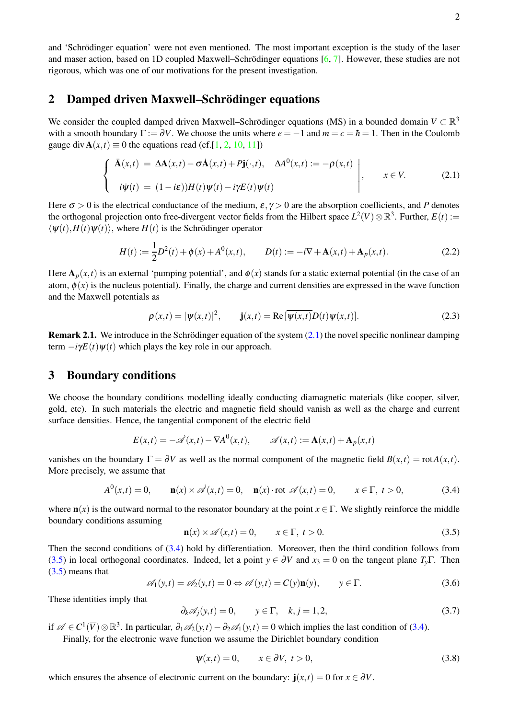### <span id="page-1-0"></span>2 Damped driven Maxwell–Schrödinger equations

We consider the coupled damped driven Maxwell–Schrödinger equations (MS) in a bounded domain  $V \subset \mathbb{R}^3$ with a smooth boundary  $\Gamma := \partial V$ . We choose the units where  $e = -1$  and  $m = c = \hbar = 1$ . Then in the Coulomb gauge div  $\mathbf{A}(x,t) \equiv 0$  the equations read (cf.[\[1,](#page-8-4) [2,](#page-8-5) [10,](#page-8-6) [11\]](#page-8-7))

<span id="page-1-2"></span>
$$
\begin{cases}\n\ddot{\mathbf{A}}(x,t) = \Delta \mathbf{A}(x,t) - \sigma \dot{\mathbf{A}}(x,t) + P\mathbf{j}(\cdot,t), \quad \Delta A^0(x,t) := -\rho(x,t) \\
i\psi(t) = (1-i\varepsilon))H(t)\psi(t) - i\gamma E(t)\psi(t)\n\end{cases}, \quad x \in V.
$$
\n(2.1)

Here  $\sigma > 0$  is the electrical conductance of the medium,  $\varepsilon, \gamma > 0$  are the absorption coefficients, and *P* denotes the orthogonal projection onto free-divergent vector fields from the Hilbert space  $L^2(V) \otimes \mathbb{R}^3$ . Further,  $E(t) :=$  $\langle \psi(t), H(t) \psi(t) \rangle$ , where  $H(t)$  is the Schrödinger operator

<span id="page-1-6"></span>
$$
H(t) := \frac{1}{2}D^{2}(t) + \phi(x) + A^{0}(x, t), \qquad D(t) := -i\nabla + \mathbf{A}(x, t) + \mathbf{A}_{p}(x, t).
$$
 (2.2)

Here  $A_p(x,t)$  is an external 'pumping potential', and  $\phi(x)$  stands for a static external potential (in the case of an atom,  $\phi(x)$  is the nucleus potential). Finally, the charge and current densities are expressed in the wave function and the Maxwell potentials as

$$
\rho(x,t) = |\psi(x,t)|^2, \qquad \mathbf{j}(x,t) = \text{Re}\left[\overline{\psi(x,t)}D(t)\psi(x,t)\right].\tag{2.3}
$$

**Remark 2.1.** We introduce in the Schrödinger equation of the system  $(2.1)$  the novel specific nonlinear damping term  $-i\gamma E(t)\psi(t)$  which plays the key role in our approach.

### <span id="page-1-1"></span>3 Boundary conditions

We choose the boundary conditions modelling ideally conducting diamagnetic materials (like cooper, silver, gold, etc). In such materials the electric and magnetic field should vanish as well as the charge and current surface densities. Hence, the tangential component of the electric field

<span id="page-1-3"></span>
$$
E(x,t) = -\dot{\mathscr{A}}(x,t) - \nabla A^0(x,t), \qquad \mathscr{A}(x,t) := \mathbf{A}(x,t) + \mathbf{A}_p(x,t)
$$

vanishes on the boundary  $\Gamma = \partial V$  as well as the normal component of the magnetic field  $B(x,t) = \text{rot}A(x,t)$ . More precisely, we assume that

$$
A^{0}(x,t) = 0, \t n(x) \times \mathscr{A}(x,t) = 0, \t n(x) \cdot \text{rot } \mathscr{A}(x,t) = 0, \t x \in \Gamma, \ t > 0,
$$
\n(3.4)

where  $\mathbf{n}(x)$  is the outward normal to the resonator boundary at the point  $x \in \Gamma$ . We slightly reinforce the middle boundary conditions assuming

<span id="page-1-4"></span>
$$
\mathbf{n}(x) \times \mathscr{A}(x,t) = 0, \qquad x \in \Gamma, \ t > 0. \tag{3.5}
$$

Then the second conditions of [\(3.4\)](#page-1-3) hold by differentiation. Moreover, then the third condition follows from [\(3.5\)](#page-1-4) in local orthogonal coordinates. Indeed, let a point  $y \in \partial V$  and  $x_3 = 0$  on the tangent plane  $T_y \Gamma$ . Then [\(3.5\)](#page-1-4) means that

<span id="page-1-8"></span><span id="page-1-7"></span>
$$
\mathscr{A}_1(y,t) = \mathscr{A}_2(y,t) = 0 \Leftrightarrow \mathscr{A}(y,t) = C(y)\mathbf{n}(y), \qquad y \in \Gamma.
$$
 (3.6)

These identities imply that

$$
\partial_k \mathscr{A}_j(y,t) = 0, \qquad y \in \Gamma, \quad k, j = 1, 2,
$$
\n
$$
(3.7)
$$

if  $\mathscr{A} \in C^1(\overline{V}) \otimes \mathbb{R}^3$ . In particular,  $\partial_1 \mathscr{A}_2(y,t) - \partial_2 \mathscr{A}_1(y,t) = 0$  which implies the last condition of [\(3.4\)](#page-1-3).

Finally, for the electronic wave function we assume the Dirichlet boundary condition

<span id="page-1-5"></span>
$$
\psi(x,t) = 0, \qquad x \in \partial V, \ t > 0,\tag{3.8}
$$

which ensures the absence of electronic current on the boundary:  $\mathbf{j}(x,t) = 0$  for  $x \in \partial V$ .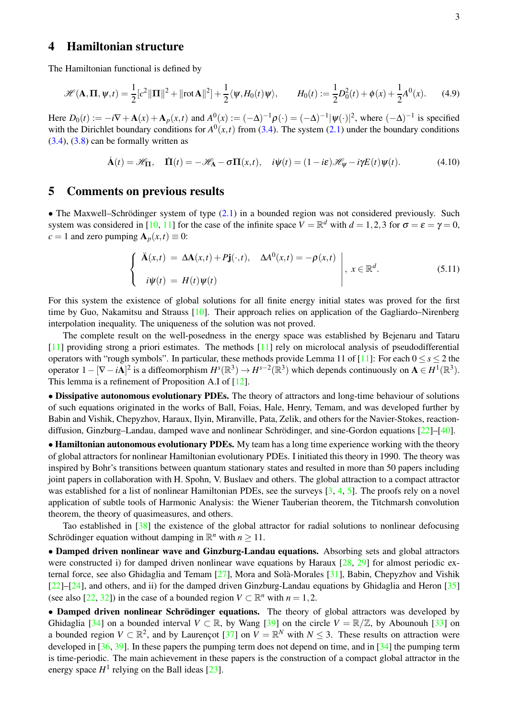## <span id="page-2-0"></span>4 Hamiltonian structure

The Hamiltonian functional is defined by

$$
\mathcal{H}(\mathbf{A}, \mathbf{\Pi}, \psi, t) = \frac{1}{2} [c^2 ||\mathbf{\Pi}||^2 + ||\text{rot}\mathbf{A}||^2] + \frac{1}{2} \langle \psi, H_0(t)\psi \rangle, \qquad H_0(t) := \frac{1}{2} D_0^2(t) + \phi(x) + \frac{1}{2} A^0(x). \tag{4.9}
$$

Here  $D_0(t) := -i\nabla + \mathbf{A}(x) + \mathbf{A}_p(x,t)$  and  $A^0(x) := (-\Delta)^{-1} \rho(\cdot) = (-\Delta)^{-1} |\psi(\cdot)|^2$ , where  $(-\Delta)^{-1}$  is specified with the Dirichlet boundary conditions for  $A^0(x,t)$  from [\(3.4\)](#page-1-3). The system [\(2.1\)](#page-1-2) under the boundary conditions  $(3.4)$ ,  $(3.8)$  can be formally written as

<span id="page-2-2"></span>
$$
\dot{\mathbf{A}}(t) = \mathscr{H}_{\mathbf{\Pi}}, \quad \dot{\mathbf{\Pi}}(t) = -\mathscr{H}_{\mathbf{A}} - \sigma \mathbf{\Pi}(x, t), \quad i\psi(t) = (1 - i\varepsilon)\mathscr{H}_{\psi} - i\gamma E(t)\psi(t). \tag{4.10}
$$

### <span id="page-2-1"></span>5 Comments on previous results

• The Maxwell–Schrödinger system of type  $(2.1)$  in a bounded region was not considered previously. Such system was considered in [\[10,](#page-8-6) [11\]](#page-8-7) for the case of the infinite space  $V = \mathbb{R}^d$  with  $d = 1,2,3$  for  $\sigma = \varepsilon = \gamma = 0$ ,  $c = 1$  and zero pumping  $\mathbf{A}_p(x,t) \equiv 0$ :

$$
\begin{cases}\n\ddot{\mathbf{A}}(x,t) = \Delta \mathbf{A}(x,t) + P\mathbf{j}(\cdot,t), & \Delta A^{0}(x,t) = -\rho(x,t) \\
i\psi(t) = H(t)\psi(t)\n\end{cases}, x \in \mathbb{R}^{d}.
$$
\n(5.11)

For this system the existence of global solutions for all finite energy initial states was proved for the first time by Guo, Nakamitsu and Strauss [\[10\]](#page-8-6). Their approach relies on application of the Gagliardo–Nirenberg interpolation inequality. The uniqueness of the solution was not proved.

The complete result on the well-posedness in the energy space was established by Bejenaru and Tataru [\[11\]](#page-8-7) providing strong a priori estimates. The methods [\[11\]](#page-8-7) rely on microlocal analysis of pseudodifferential operators with "rough symbols". In particular, these methods provide Lemma 11 of [\[11\]](#page-8-7): For each  $0 \le s \le 2$  the operator  $1 - [\nabla - i\mathbf{A}]^2$  is a diffeomorphism  $H^s(\mathbb{R}^3) \to H^{s-2}(\mathbb{R}^3)$  which depends continuously on  $\mathbf{A} \in H^1(\mathbb{R}^3)$ . This lemma is a refinement of Proposition A.I of [\[12\]](#page-8-8).

• Dissipative autonomous evolutionary PDEs. The theory of attractors and long-time behaviour of solutions of such equations originated in the works of Ball, Foias, Hale, Henry, Temam, and was developed further by Babin and Vishik, Chepyzhov, Haraux, Ilyin, Miranville, Pata, Zelik, and others for the Navier-Stokes, reactiondiffusion, Ginzburg–Landau, damped wave and nonlinear Schrödinger, and sine-Gordon equations  $[22]$ – $[40]$ .

• Hamiltonian autonomous evolutionary PDEs. My team has a long time experience working with the theory of global attractors for nonlinear Hamiltonian evolutionary PDEs. I initiated this theory in 1990. The theory was inspired by Bohr's transitions between quantum stationary states and resulted in more than 50 papers including joint papers in collaboration with H. Spohn, V. Buslaev and others. The global attraction to a compact attractor was established for a list of nonlinear Hamiltonian PDEs, see the surveys [\[3,](#page-8-9) [4,](#page-8-10) [5\]](#page-8-11). The proofs rely on a novel application of subtle tools of Harmonic Analysis: the Wiener Tauberian theorem, the Titchmarsh convolution theorem, the theory of quasimeasures, and others.

Tao established in [\[38\]](#page-9-2) the existence of the global attractor for radial solutions to nonlinear defocusing Schrödinger equation without damping in  $\mathbb{R}^n$  with  $n \geq 11$ .

• Damped driven nonlinear wave and Ginzburg-Landau equations. Absorbing sets and global attractors were constructed i) for damped driven nonlinear wave equations by Haraux [\[28,](#page-9-3) [29\]](#page-9-4) for almost periodic external force, see also Ghidaglia and Temam  $[27]$ , Mora and Solà-Morales  $[31]$ , Babin, Chepyzhov and Vishik [\[22\]](#page-9-0)–[\[24\]](#page-9-7), and others, and ii) for the damped driven Ginzburg-Landau equations by Ghidaglia and Heron [\[35\]](#page-9-8) (see also [\[22,](#page-9-0) [32\]](#page-9-9)) in the case of a bounded region  $V \subset \mathbb{R}^n$  with  $n = 1, 2$ .

• Damped driven nonlinear Schrödinger equations. The theory of global attractors was developed by Ghidaglia [\[34\]](#page-9-10) on a bounded interval  $V \subset \mathbb{R}$ , by Wang [\[39\]](#page-9-11) on the circle  $V = \mathbb{R}/\mathbb{Z}$ , by Abounouh [\[33\]](#page-9-12) on a bounded region  $V \subset \mathbb{R}^2$ , and by Laurençot [\[37\]](#page-9-13) on  $V = \mathbb{R}^N$  with  $N \leq 3$ . These results on attraction were developed in [\[36,](#page-9-14) [39\]](#page-9-11). In these papers the pumping term does not depend on time, and in [\[34\]](#page-9-10) the pumping term is time-periodic. The main achievement in these papers is the construction of a compact global attractor in the energy space  $H^1$  relying on the Ball ideas [\[23\]](#page-9-15).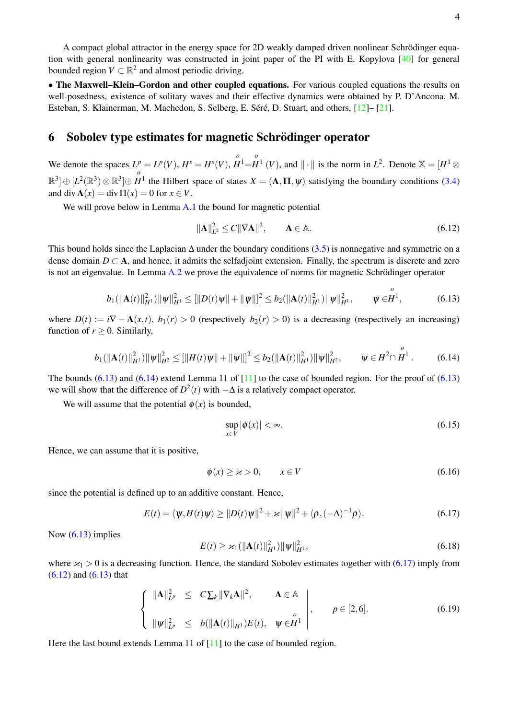• The Maxwell–Klein–Gordon and other coupled equations. For various coupled equations the results on well-posedness, existence of solitary waves and their effective dynamics were obtained by P. D'Ancona, M. Esteban, S. Klainerman, M. Machedon, S. Selberg, E. Séré, D. Stuart, and others,  $[12]$ –  $[21]$ .

### <span id="page-3-0"></span>6 Sobolev type estimates for magnetic Schrödinger operator

We denote the spaces  $L^p = L^p(V)$ ,  $H^s = H^s(V)$ , *o*  $\overset{o}{H}$ <sup>1</sup>= $\overset{o}{H}$  $H^1$  (*V*), and  $\|\cdot\|$  is the norm in  $L^2$ . Denote  $\mathbb{X} = [H^1 \otimes$  $\mathbb{R}^3$ ]  $\oplus$   $[L^2(\mathbb{R}^3)$   $\otimes$   $\mathbb{R}^3$ ] $\oplus$ *o H*<sup>1</sup> the Hilbert space of states  $X = (A, \Pi, \psi)$  satisfying the boundary conditions [\(3.4\)](#page-1-3) and div  $\mathbf{A}(x) = \text{div}\,\Pi(x) = 0$  for  $x \in V$ .

We will prove below in Lemma [A.1](#page-6-1) the bound for magnetic potential

$$
\|\mathbf{A}\|_{L^2}^2 \le C \|\nabla \mathbf{A}\|^2, \qquad \mathbf{A} \in \mathbb{A}.\tag{6.12}
$$

<span id="page-3-4"></span><span id="page-3-1"></span>*o*

This bound holds since the Laplacian  $\Delta$  under the boundary conditions [\(3.5\)](#page-1-4) is nonnegative and symmetric on a dense domain  $D \subset \mathbf{A}$ , and hence, it admits the selfadjoint extension. Finally, the spectrum is discrete and zero is not an eigenvalue. In Lemma [A.2](#page-7-0) we prove the equivalence of norms for magnetic Schrödinger operator

<span id="page-3-2"></span>
$$
b_1(||\mathbf{A}(t)||_{H^1}^2)||\psi||_{H^1}^2 \leq [||D(t)\psi|| + ||\psi||]^2 \leq b_2(||\mathbf{A}(t)||_{H^1}^2)||\psi||_{H^1}^2, \qquad \psi \in H^1,
$$
\n(6.13)

where  $D(t) := i\nabla - \mathbf{A}(x,t)$ ,  $b_1(r) > 0$  (respectively  $b_2(r) > 0$ ) is a decreasing (respectively an increasing) function of  $r \geq 0$ . Similarly,

$$
b_1(||\mathbf{A}(t)||_{H^1}^2)||\psi||_{H^2}^2 \leq [||H(t)\psi|| + ||\psi||]^2 \leq b_2(||\mathbf{A}(t)||_{H^1}^2)||\psi||_{H^2}^2, \qquad \psi \in H^2 \cap \overset{o}{H}^1. \tag{6.14}
$$

The bounds  $(6.13)$  and  $(6.14)$  extend Lemma 11 of [\[11\]](#page-8-7) to the case of bounded region. For the proof of  $(6.13)$ we will show that the difference of  $D^2(t)$  with  $-\Delta$  is a relatively compact operator.

We will assume that the potential  $\phi(x)$  is bounded,

$$
\sup_{x \in V} |\phi(x)| < \infty. \tag{6.15}
$$

Hence, we can assume that it is positive,

<span id="page-3-3"></span>
$$
\phi(x) \ge x > 0, \qquad x \in V \tag{6.16}
$$

since the potential is defined up to an additive constant. Hence,

$$
E(t) = \langle \psi, H(t) \psi \rangle \ge ||D(t)\psi||^2 + \varkappa ||\psi||^2 + \langle \rho, (-\Delta)^{-1} \rho \rangle.
$$
 (6.17)

Now  $(6.13)$  implies

$$
E(t) \ge \varkappa_1(||\mathbf{A}(t)||_{H^1}^2) ||\psi||_{H^1}^2,
$$
\n(6.18)

where  $\varkappa_1 > 0$  is a decreasing function. Hence, the standard Sobolev estimates together with [\(6.17\)](#page-3-3) imply from [\(6.12\)](#page-3-4) and [\(6.13\)](#page-3-1) that

<span id="page-3-5"></span>
$$
\left\{\n\begin{array}{ll}\n\|\mathbf{A}\|_{L^p}^2 \leq C \sum_k \|\nabla_k \mathbf{A}\|^2, & \mathbf{A} \in \mathbb{A} \\
\|\boldsymbol{\psi}\|_{L^p}^2 \leq b(\|\mathbf{A}(t)\|_{H^1}) E(t), & \boldsymbol{\psi} \in H^1\n\end{array}\n\right\}, \qquad p \in [2, 6].
$$
\n(6.19)

Here the last bound extends Lemma 11 of [\[11\]](#page-8-7) to the case of bounded region.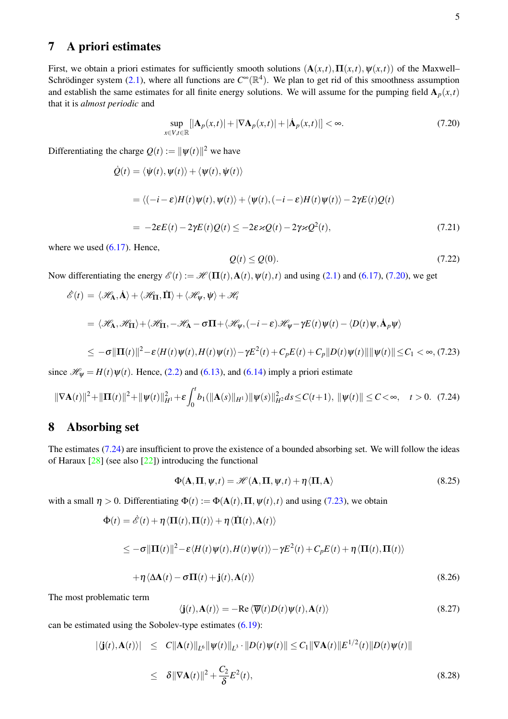# <span id="page-4-0"></span>7 A priori estimates

First, we obtain a priori estimates for sufficiently smooth solutions  $(A(x,t), \Pi(x,t), \psi(x,t))$  of the Maxwell– Schrödinger system [\(2.1\)](#page-1-2), where all functions are  $C^{\infty}(\mathbb{R}^{4})$ . We plan to get rid of this smoothness assumption and establish the same estimates for all finite energy solutions. We will assume for the pumping field  $A_p(x,t)$ that it is *almost periodic* and

<span id="page-4-2"></span>
$$
\sup_{x \in V, t \in \mathbb{R}} [|\mathbf{A}_p(x, t)| + |\nabla \mathbf{A}_p(x, t)| + |\dot{\mathbf{A}}_p(x, t)|] < \infty.
$$
\n(7.20)

Differentiating the charge  $Q(t) := ||\psi(t)||^2$  we have

$$
\dot{Q}(t) = \langle \dot{\psi}(t), \psi(t) \rangle + \langle \psi(t), \dot{\psi}(t) \rangle
$$
  
\n
$$
= \langle (-i - \varepsilon)H(t)\psi(t), \psi(t) \rangle + \langle \psi(t), (-i - \varepsilon)H(t)\psi(t) \rangle - 2\gamma E(t)Q(t)
$$
  
\n
$$
= -2\varepsilon E(t) - 2\gamma E(t)Q(t) \le -2\varepsilon \varkappa Q(t) - 2\gamma \varkappa Q^2(t), \qquad (7.21)
$$

where we used  $(6.17)$ . Hence,

<span id="page-4-3"></span>
$$
Q(t) \le Q(0). \tag{7.22}
$$

Now differentiating the energy  $\mathscr{E}(t) := \mathscr{H}(\Pi(t), \mathbf{A}(t), \psi(t), t)$  and using [\(2.1\)](#page-1-2) and [\(6.17\)](#page-3-3), [\(7.20\)](#page-4-2), we get

<span id="page-4-4"></span>
$$
\hat{\mathscr{E}}(t) = \langle \mathscr{H}_{\mathbf{A}}, \dot{\mathbf{A}} \rangle + \langle \mathscr{H}_{\mathbf{H}}, \dot{\mathbf{\Pi}} \rangle + \langle \mathscr{H}_{\psi}, \dot{\psi} \rangle + \mathscr{H}_{t}
$$
\n
$$
= \langle \mathscr{H}_{\mathbf{A}}, \mathscr{H}_{\mathbf{\Pi}} \rangle + \langle \mathscr{H}_{\mathbf{\Pi}}, -\mathscr{H}_{\mathbf{A}} - \sigma \mathbf{\Pi} + \langle \mathscr{H}_{\psi}, (-i - \varepsilon) \mathscr{H}_{\psi} - \gamma E(t) \psi(t) - \langle D(t) \psi, \dot{\mathbf{A}}_{p} \psi \rangle
$$
\n
$$
\leq -\sigma ||\mathbf{\Pi}(t)||^{2} - \varepsilon \langle H(t) \psi(t), H(t) \psi(t) \rangle - \gamma E^{2}(t) + C_{p} E(t) + C_{p} ||D(t) \psi(t)|| ||\psi(t)|| \leq C_{1} < \infty, (7.23)
$$

since  $\mathcal{H}_{\Psi} = H(t)\psi(t)$ . Hence, [\(2.2\)](#page-1-6) and [\(6.13\)](#page-3-1), and [\(6.14\)](#page-3-2) imply a priori estimate

$$
\|\nabla \mathbf{A}(t)\|^2 + \|\mathbf{\Pi}(t)\|^2 + \|\psi(t)\|^2_{H^1} + \varepsilon \int_0^t b_1(\|\mathbf{A}(s)\|_{H^1}) \|\psi(s)\|^2_{H^2} ds \le C(t+1), \ \|\psi(t)\| \le C < \infty, \quad t > 0. \tag{7.24}
$$

# <span id="page-4-1"></span>8 Absorbing set

The estimates [\(7.24\)](#page-4-3) are insufficient to prove the existence of a bounded absorbing set. We will follow the ideas of Haraux [\[28\]](#page-9-3) (see also [\[22\]](#page-9-0)) introducing the functional

$$
\Phi(\mathbf{A}, \mathbf{\Pi}, \psi, t) = \mathcal{H}(\mathbf{A}, \mathbf{\Pi}, \psi, t) + \eta \langle \mathbf{\Pi}, \mathbf{A} \rangle
$$
\n(8.25)

with a small  $\eta > 0$ . Differentiating  $\Phi(t) := \Phi(\mathbf{A}(t), \Pi, \Psi(t), t)$  and using [\(7.23\)](#page-4-4), we obtain

<span id="page-4-5"></span>
$$
\dot{\Phi}(t) = \dot{\mathcal{E}}(t) + \eta \langle \Pi(t), \Pi(t) \rangle + \eta \langle \dot{\Pi}(t), \mathbf{A}(t) \rangle
$$

$$
\leq -\sigma \|\Pi(t)\|^2 - \varepsilon \langle H(t)\psi(t), H(t)\psi(t)\rangle - \gamma E^2(t) + C_p E(t) + \eta \langle \Pi(t), \Pi(t)\rangle
$$

$$
+\eta\langle\Delta A(t) - \sigma\Pi(t) + \mathbf{j}(t), A(t)\rangle
$$
\n(8.26)

The most problematic term

$$
\langle \mathbf{j}(t), \mathbf{A}(t) \rangle = -\text{Re}\,\langle \overline{\psi}(t)D(t)\psi(t), \mathbf{A}(t) \rangle \tag{8.27}
$$

can be estimated using the Sobolev-type estimates [\(6.19\)](#page-3-5):

$$
\begin{aligned} \left| \langle \mathbf{j}(t), \mathbf{A}(t) \rangle \right| &\leq & C \|\mathbf{A}(t)\|_{L^6} \|\psi(t)\|_{L^3} \cdot \|D(t)\psi(t)\| \leq C_1 \|\nabla \mathbf{A}(t)\| E^{1/2}(t) \|D(t)\psi(t)\| \\ &\leq & \delta \|\nabla \mathbf{A}(t)\|^2 + \frac{C_2}{\delta} E^2(t), \end{aligned} \tag{8.28}
$$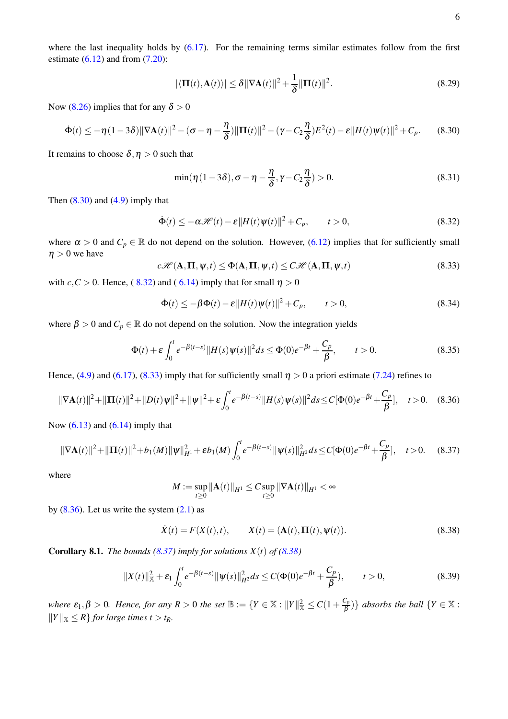6

where the last inequality holds by  $(6.17)$ . For the remaining terms similar estimates follow from the first estimate  $(6.12)$  and from  $(7.20)$ :

<span id="page-5-0"></span>
$$
|\langle \mathbf{\Pi}(t), \mathbf{A}(t) \rangle| \le \delta \|\nabla \mathbf{A}(t)\|^2 + \frac{1}{\delta} \|\mathbf{\Pi}(t)\|^2.
$$
 (8.29)

Now [\(8.26\)](#page-4-5) implies that for any  $\delta > 0$ 

$$
\Phi(t) \leq -\eta (1 - 3\delta) \|\nabla \mathbf{A}(t)\|^2 - (\sigma - \eta - \frac{\eta}{\delta}) \|\mathbf{\Pi}(t)\|^2 - (\gamma - C_2 \frac{\eta}{\delta}) E^2(t) - \varepsilon \|H(t)\psi(t)\|^2 + C_p. \tag{8.30}
$$

It remains to choose  $\delta, \eta > 0$  such that

<span id="page-5-1"></span>
$$
\min(\eta(1-3\delta), \sigma-\eta-\frac{\eta}{\delta}, \gamma-C_2\frac{\eta}{\delta})>0. \tag{8.31}
$$

Then  $(8.30)$  and  $(4.9)$  imply that

$$
\dot{\Phi}(t) \le -\alpha \mathcal{H}(t) - \varepsilon ||H(t)\psi(t)||^2 + C_p, \qquad t > 0,
$$
\n(8.32)

where  $\alpha > 0$  and  $C_p \in \mathbb{R}$  do not depend on the solution. However, [\(6.12\)](#page-3-4) implies that for sufficiently small  $\eta > 0$  we have

<span id="page-5-2"></span>
$$
c\mathscr{H}(\mathbf{A},\mathbf{\Pi},\psi,t) \le \Phi(\mathbf{A},\mathbf{\Pi},\psi,t) \le C\mathscr{H}(\mathbf{A},\mathbf{\Pi},\psi,t)
$$
(8.33)

with  $c, C > 0$ . Hence, ([8.32\)](#page-5-1) and ([6.14\)](#page-3-2) imply that for small  $\eta > 0$ 

<span id="page-5-3"></span>
$$
\dot{\Phi}(t) \le -\beta \Phi(t) - \varepsilon ||H(t)\psi(t)||^2 + C_p, \qquad t > 0,
$$
\n(8.34)

where  $\beta > 0$  and  $C_p \in \mathbb{R}$  do not depend on the solution. Now the integration yields

$$
\Phi(t) + \varepsilon \int_0^t e^{-\beta(t-s)} \|H(s)\psi(s)\|^2 ds \le \Phi(0)e^{-\beta t} + \frac{C_p}{\beta}, \qquad t > 0.
$$
 (8.35)

Hence, [\(4.9\)](#page-2-2) and [\(6.17\)](#page-3-3), [\(8.33\)](#page-5-2) imply that for sufficiently small  $\eta > 0$  a priori estimate [\(7.24\)](#page-4-3) refines to

$$
\|\nabla \mathbf{A}(t)\|^2 + \|\mathbf{\Pi}(t)\|^2 + \|D(t)\psi\|^2 + \|\psi\|^2 + \varepsilon \int_0^t e^{-\beta(t-s)} \|H(s)\psi(s)\|^2 ds \le C[\Phi(0)e^{-\beta t} + \frac{C_p}{\beta}], \quad t > 0. \quad (8.36)
$$

Now  $(6.13)$  and  $(6.14)$  imply that

$$
\|\nabla \mathbf{A}(t)\|^2 + \|\mathbf{\Pi}(t)\|^2 + b_1(M)\|\psi\|_{H^1}^2 + \varepsilon b_1(M) \int_0^t e^{-\beta(t-s)} \|\psi(s)\|_{H^2}^2 ds \le C[\Phi(0)e^{-\beta t} + \frac{C_p}{\beta}], \quad t > 0. \tag{8.37}
$$

where

<span id="page-5-5"></span><span id="page-5-4"></span>
$$
M := \sup_{t \geq 0} ||A(t)||_{H^1} \leq C \sup_{t \geq 0} ||\nabla A(t)||_{H^1} < \infty
$$

by  $(8.36)$ . Let us write the system  $(2.1)$  as

$$
\dot{X}(t) = F(X(t), t), \qquad X(t) = (\mathbf{A}(t), \mathbf{\Pi}(t), \psi(t)).
$$
\n(8.38)

**Corollary 8.1.** *The bounds* [\(8.37\)](#page-5-4) *imply for solutions*  $X(t)$  *of* [\(8.38\)](#page-5-5)

$$
||X(t)||_{\mathbb{X}}^2 + \varepsilon_1 \int_0^t e^{-\beta(t-s)} ||\psi(s)||_{H^2}^2 ds \le C(\Phi(0)e^{-\beta t} + \frac{C_p}{\beta}), \qquad t > 0,
$$
\n(8.39)

*where*  $\varepsilon_1, \beta > 0$ *. Hence, for any*  $R > 0$  *the set*  $\mathbb{B} := \{ Y \in \mathbb{X} : ||Y||^2_{\mathbb{X}} \leq C(1 + \frac{C_p}{\beta})$  $\left\{\frac{\mathcal{C}_{p}}{\beta}\right\}$  absorbs the ball  $\left\{Y \in \mathbb{X}: \mathcal{C}_{p} \right\}$  $||Y||_{\mathbb{X}} \leq R$  *for large times t* > *t<sub>R</sub>*.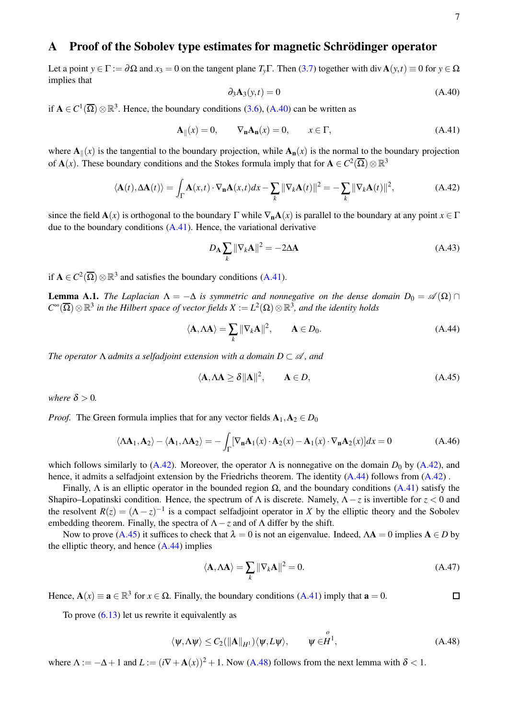## <span id="page-6-0"></span>A Proof of the Sobolev type estimates for magnetic Schrödinger operator

<span id="page-6-2"></span>Let a point  $y \in \Gamma := \partial \Omega$  and  $x_3 = 0$  on the tangent plane  $T_y \Gamma$ . Then [\(3.7\)](#page-1-7) together with div  $\mathbf{A}(y, t) \equiv 0$  for  $y \in \Omega$ implies that

<span id="page-6-4"></span><span id="page-6-3"></span>
$$
\partial_3 \mathbf{A}_3(y, t) = 0 \tag{A.40}
$$

if  $A \in C^1(\overline{\Omega}) \otimes \mathbb{R}^3$ . Hence, the boundary conditions [\(3.6\)](#page-1-8), [\(A.40\)](#page-6-2) can be written as

$$
\mathbf{A}_{\parallel}(x) = 0, \qquad \nabla_{\mathbf{n}} \mathbf{A}_{\mathbf{n}}(x) = 0, \qquad x \in \Gamma, \tag{A.41}
$$

where  $A_{\parallel}(x)$  is the tangential to the boundary projection, while  $A_{n}(x)$  is the normal to the boundary projection of  $\mathbf{A}(x)$ . These boundary conditions and the Stokes formula imply that for  $\mathbf{A} \in C^2(\overline{\Omega}) \otimes \mathbb{R}^3$ 

$$
\langle \mathbf{A}(t), \Delta \mathbf{A}(t) \rangle = \int_{\Gamma} \mathbf{A}(x, t) \cdot \nabla_{\mathbf{n}} \mathbf{A}(x, t) dx - \sum_{k} ||\nabla_{k} \mathbf{A}(t)||^{2} = -\sum_{k} ||\nabla_{k} \mathbf{A}(t)||^{2}, \tag{A.42}
$$

since the field  $\mathbf{A}(x)$  is orthogonal to the boundary  $\Gamma$  while  $\nabla_{\mathbf{n}}\mathbf{A}(x)$  is parallel to the boundary at any point  $x \in \Gamma$ due to the boundary conditions  $(A.41)$ . Hence, the variational derivative

<span id="page-6-5"></span>
$$
D_{\mathbf{A}} \sum_{k} \|\nabla_{k} \mathbf{A}\|^{2} = -2\Delta \mathbf{A}
$$
 (A.43)

if  $A \in C^2(\overline{\Omega}) \otimes \mathbb{R}^3$  and satisfies the boundary conditions [\(A.41\)](#page-6-3).

<span id="page-6-1"></span>**Lemma A.1.** *The Laplacian*  $\Lambda = -\Delta$  *is symmetric and nonnegative on the dense domain*  $D_0 = \mathscr{A}(\Omega) \cap$  $C^\infty(\overline{\Omega})\otimes\mathbb{R}^3$  in the Hilbert space of vector fields  $X:=L^2(\Omega)\otimes\mathbb{R}^3$ , and the identity holds

$$
\langle \mathbf{A}, \Lambda \mathbf{A} \rangle = \sum_{k} \|\nabla_k \mathbf{A}\|^2, \qquad \mathbf{A} \in D_0.
$$
 (A.44)

*The operator*  $\Lambda$  *admits a selfadjoint extension with a domain*  $D \subset \mathcal{A}$ *, and* 

<span id="page-6-6"></span>
$$
\langle \mathbf{A}, \Lambda \mathbf{A} \ge \delta \|\mathbf{A}\|^2, \qquad \mathbf{A} \in D, \tag{A.45}
$$

*where*  $\delta > 0$ *.* 

*Proof.* The Green formula implies that for any vector fields  $A_1, A_2 \in D_0$ 

$$
\langle \mathbf{A}\mathbf{A}_1, \mathbf{A}_2 \rangle - \langle \mathbf{A}_1, \mathbf{A}\mathbf{A}_2 \rangle = -\int_{\Gamma} [\nabla_{\mathbf{n}} \mathbf{A}_1(x) \cdot \mathbf{A}_2(x) - \mathbf{A}_1(x) \cdot \nabla_{\mathbf{n}} \mathbf{A}_2(x)] dx = 0
$$
 (A.46)

which follows similarly to [\(A.42\)](#page-6-4). Moreover, the operator  $\Lambda$  is nonnegative on the domain  $D_0$  by [\(A.42\)](#page-6-4), and hence, it admits a selfadioint extension by the Friedrichs theorem. The identity [\(A.44\)](#page-6-5) follows from [\(A.42\)](#page-6-4).

Finally,  $\Lambda$  is an elliptic operator in the bounded region  $\Omega$ , and the boundary conditions [\(A.41\)](#page-6-3) satisfy the Shapiro–Lopatinski condition. Hence, the spectrum of Λ is discrete. Namely, Λ−*z* is invertible for *z* < 0 and the resolvent  $R(z) = (\Lambda - z)^{-1}$  is a compact selfadjoint operator in *X* by the elliptic theory and the Sobolev embedding theorem. Finally, the spectra of  $\Lambda$  – *z* and of  $\Lambda$  differ by the shift.

Now to prove [\(A.45\)](#page-6-6) it suffices to check that  $\lambda = 0$  is not an eigenvalue. Indeed,  $\Lambda \mathbf{A} = 0$  implies  $\mathbf{A} \in D$  by the elliptic theory, and hence [\(A.44\)](#page-6-5) implies

<span id="page-6-7"></span>
$$
\langle \mathbf{A}, \Lambda \mathbf{A} \rangle = \sum_{k} ||\nabla_k \mathbf{A}||^2 = 0. \tag{A.47}
$$

Hence,  $\mathbf{A}(x) \equiv \mathbf{a} \in \mathbb{R}^3$  for  $x \in \Omega$ . Finally, the boundary conditions [\(A.41\)](#page-6-3) imply that  $\mathbf{a} = 0$ .  $\Box$ 

To prove  $(6.13)$  let us rewrite it equivalently as

$$
\langle \psi, \Lambda \psi \rangle \leq C_2(||\mathbf{A}||_{H^1}) \langle \psi, L\psi \rangle, \qquad \psi \in \stackrel{o}{H^1}, \tag{A.48}
$$

where  $\Lambda := -\Delta + 1$  and  $L := (i\nabla + \mathbf{A}(x))^2 + 1$ . Now [\(A.48\)](#page-6-7) follows from the next lemma with  $\delta < 1$ .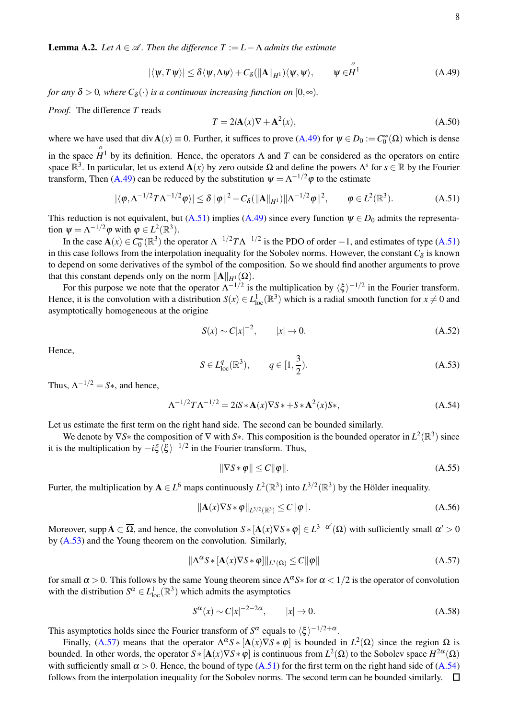<span id="page-7-0"></span>**Lemma A.2.** *Let*  $A \in \mathcal{A}$ *. Then the difference*  $T := L - \Lambda$  *admits the estimate* 

$$
|\langle \psi, T\psi \rangle| \leq \delta \langle \psi, \Lambda \psi \rangle + C_{\delta}(\|\mathbf{A}\|_{H^1}) \langle \psi, \psi \rangle, \qquad \psi \in \stackrel{o}{H^1} \tag{A.49}
$$

*for any*  $\delta > 0$ , where  $C_{\delta}(\cdot)$  *is a continuous increasing function on*  $[0, \infty)$ *.* 

*Proof.* The difference *T* reads

<span id="page-7-2"></span><span id="page-7-1"></span>
$$
T = 2i\mathbf{A}(x)\nabla + \mathbf{A}^2(x),\tag{A.50}
$$

where we have used that div  $A(x) \equiv 0$ . Further, it suffices to prove  $(A.49)$  for  $\psi \in D_0 := C_0^{\infty}(\Omega)$  which is dense in the space *o*  $H<sup>1</sup>$  by its definition. Hence, the operators  $\Lambda$  and  $T$  can be considered as the operators on entire space  $\mathbb{R}^3$ . In particular, let us extend  $\mathbf{A}(x)$  by zero outside  $\Omega$  and define the powers  $\Lambda^s$  for  $s \in \mathbb{R}$  by the Fourier transform, Then [\(A.49\)](#page-7-1) can be reduced by the substitution  $\psi = \Lambda^{-1/2} \varphi$  to the estimate

$$
|\langle \varphi, \Lambda^{-1/2} T \Lambda^{-1/2} \varphi \rangle| \leq \delta \|\varphi\|^2 + C_{\delta}(\|\mathbf{A}\|_{H^1}) \|\Lambda^{-1/2} \varphi\|^2, \qquad \varphi \in L^2(\mathbb{R}^3). \tag{A.51}
$$

This reduction is not equivalent, but [\(A.51\)](#page-7-2) implies [\(A.49\)](#page-7-1) since every function  $\psi \in D_0$  admits the representation  $\psi = \Lambda^{-1/2} \varphi$  with  $\varphi \in L^2(\mathbb{R}^3)$ .

In the case  $\mathbf{A}(x) \in C_0^{\infty}(\mathbb{R}^3)$  the operator  $\Lambda^{-1/2}T\Lambda^{-1/2}$  is the PDO of order  $-1$ , and estimates of type [\(A.51\)](#page-7-2) in this case follows from the interpolation inequality for the Sobolev norms. However, the constant  $C_{\delta}$  is known to depend on some derivatives of the symbol of the composition. So we should find another arguments to prove that this constant depends only on the norm  $||A||_{H^1}(\Omega)$ .

For this purpose we note that the operator  $\Lambda^{-1/2}$  is the multiplication by  $\langle \xi \rangle^{-1/2}$  in the Fourier transform. Hence, it is the convolution with a distribution  $S(x) \in L^1_{loc}(\mathbb{R}^3)$  which is a radial smooth function for  $x \neq 0$  and asymptotically homogeneous at the origine

$$
S(x) \sim C|x|^{-2}, \qquad |x| \to 0. \tag{A.52}
$$

<span id="page-7-3"></span>Hence,

$$
S \in L_{loc}^{q}(\mathbb{R}^{3}), \qquad q \in [1, \frac{3}{2}).
$$
 (A.53)

Thus,  $\Lambda^{-1/2} = S_*$ , and hence,

<span id="page-7-5"></span>
$$
\Lambda^{-1/2} T \Lambda^{-1/2} = 2iS * \mathbf{A}(x) \nabla S * + S * \mathbf{A}^2(x) S *,
$$
\n(A.54)

Let us estimate the first term on the right hand side. The second can be bounded similarly.

We denote by  $\nabla S*$  the composition of  $\nabla$  with  $S*$ . This composition is the bounded operator in  $L^2(\mathbb{R}^3)$  since it is the multiplication by  $-i\xi \langle \xi \rangle^{-1/2}$  in the Fourier transform. Thus,

$$
\|\nabla S \ast \varphi\| \le C \|\varphi\|.\tag{A.55}
$$

Furter, the multiplication by  $A \in L^6$  maps continuously  $L^2(\mathbb{R}^3)$  into  $L^{3/2}(\mathbb{R}^3)$  by the Hölder inequality.

<span id="page-7-4"></span>
$$
\|\mathbf{A}(x)\nabla S \ast \varphi\|_{L^{3/2}(\mathbb{R}^3)} \le C \|\varphi\|.\tag{A.56}
$$

Moreover, supp  $A \subset \overline{\Omega}$ , and hence, the convolution  $S * [A(x) \nabla S * \varphi] \in L^{3-\alpha'}(\Omega)$  with sufficiently small  $\alpha' > 0$ by [\(A.53\)](#page-7-3) and the Young theorem on the convolution. Similarly,

$$
\|\Lambda^{\alpha} S * [A(x)\nabla S * \varphi] \|_{L^{3}(\Omega)} \leq C \|\varphi\|
$$
\n(A.57)

for small  $\alpha > 0$ . This follows by the same Young theorem since  $\Lambda^{\alpha}S*$  for  $\alpha < 1/2$  is the operator of convolution with the distribution  $S^{\alpha} \in L^1_{loc}(\mathbb{R}^3)$  which admits the asymptotics

$$
S^{\alpha}(x) \sim C|x|^{-2-2\alpha}, \qquad |x| \to 0. \tag{A.58}
$$

This asymptotics holds since the Fourier transform of  $S^{\alpha}$  equals to  $\langle \xi \rangle^{-1/2+\alpha}$ .

Finally, [\(A.57\)](#page-7-4) means that the operator  $\Lambda^{\alpha} S * [\mathbf{A}(x) \nabla S * \varphi]$  is bounded in  $L^2(\Omega)$  since the region  $\Omega$  is bounded. In other words, the operator  $S * [A(x) \nabla S * \varphi]$  is continuous from  $L^2(\Omega)$  to the Sobolev space  $H^{2\alpha}(\Omega)$ with sufficiently small  $\alpha > 0$ . Hence, the bound of type [\(A.51\)](#page-7-2) for the first term on the right hand side of [\(A.54\)](#page-7-5) follows from the interpolation inequality for the Sobolev norms. The second term can be bounded similarly.  $\Box$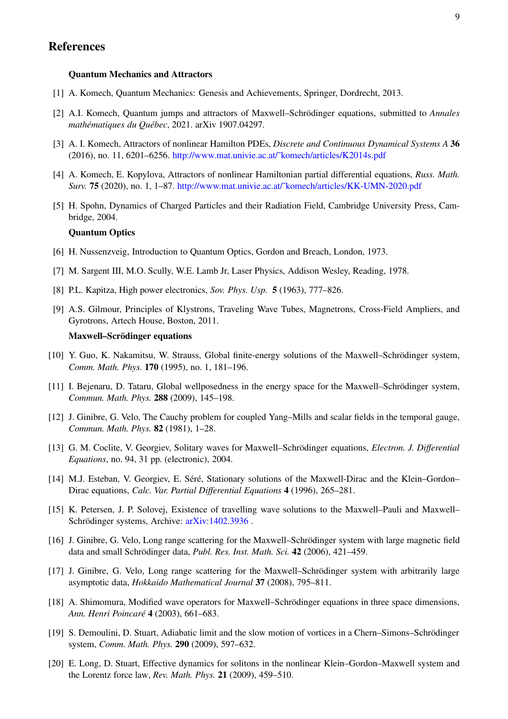# References

### Quantum Mechanics and Attractors

- <span id="page-8-5"></span><span id="page-8-4"></span>[1] A. Komech, Quantum Mechanics: Genesis and Achievements, Springer, Dordrecht, 2013.
- <span id="page-8-9"></span>[2] A.I. Komech, Quantum jumps and attractors of Maxwell–Schrödinger equations, submitted to *Annales mathematiques du Qu ´ ebec ´* , 2021. arXiv 1907.04297.
- <span id="page-8-10"></span>[3] A. I. Komech, Attractors of nonlinear Hamilton PDEs, *Discrete and Continuous Dynamical Systems A* 36 (2016), no. 11, 6201–6256. [http://www.mat.univie.ac.at/˜komech/articles/K2014s.pdf](http://www.mat.univie.ac.at/~komech/articles/K2014s.pdf)
- <span id="page-8-11"></span>[4] A. Komech, E. Kopylova, Attractors of nonlinear Hamiltonian partial differential equations, *Russ. Math. Surv.* 75 (2020), no. 1, 1–87. [http://www.mat.univie.ac.at/˜komech/articles/KK-UMN-2020.pdf](http://www.mat.univie.ac.at/~komech/articles/KK-UMN-2020.pdf)
- [5] H. Spohn, Dynamics of Charged Particles and their Radiation Field, Cambridge University Press, Cambridge, 2004.

### Quantum Optics

- <span id="page-8-3"></span><span id="page-8-2"></span>[6] H. Nussenzveig, Introduction to Quantum Optics, Gordon and Breach, London, 1973.
- <span id="page-8-0"></span>[7] M. Sargent III, M.O. Scully, W.E. Lamb Jr, Laser Physics, Addison Wesley, Reading, 1978.
- <span id="page-8-1"></span>[8] P.L. Kapitza, High power electronics, *Sov. Phys. Usp.* 5 (1963), 777–826.
- [9] A.S. Gilmour, Principles of Klystrons, Traveling Wave Tubes, Magnetrons, Cross-Field Ampliers, and Gyrotrons, Artech House, Boston, 2011.

### Maxwell–Scrödinger equations

- <span id="page-8-6"></span>[10] Y. Guo, K. Nakamitsu, W. Strauss, Global finite-energy solutions of the Maxwell–Schrödinger system, *Comm. Math. Phys.* 170 (1995), no. 1, 181–196.
- <span id="page-8-7"></span>[11] I. Bejenaru, D. Tataru, Global wellposedness in the energy space for the Maxwell–Schrödinger system, *Commun. Math. Phys.* 288 (2009), 145–198.
- <span id="page-8-8"></span>[12] J. Ginibre, G. Velo, The Cauchy problem for coupled Yang–Mills and scalar fields in the temporal gauge, *Commun. Math. Phys.* 82 (1981), 1–28.
- [13] G. M. Coclite, V. Georgiev, Solitary waves for Maxwell–Schrödinger equations, *Electron. J. Differential Equations*, no. 94, 31 pp. (electronic), 2004.
- [14] M.J. Esteban, V. Georgiev, E. Séré, Stationary solutions of the Maxwell-Dirac and the Klein-Gordon-Dirac equations, *Calc. Var. Partial Differential Equations* 4 (1996), 265–281.
- [15] K. Petersen, J. P. Solovej, Existence of travelling wave solutions to the Maxwell–Pauli and Maxwell– Schrödinger systems, Archive: [arXiv:1402.3936](http://arxiv.org/abs/1402.3936).
- [16] J. Ginibre, G. Velo, Long range scattering for the Maxwell–Schrödinger system with large magnetic field data and small Schrödinger data, *Publ. Res. Inst. Math. Sci.* 42 (2006), 421–459.
- [17] J. Ginibre, G. Velo, Long range scattering for the Maxwell–Schrödinger system with arbitrarily large asymptotic data, *Hokkaido Mathematical Journal* 37 (2008), 795–811.
- [18] A. Shimomura, Modified wave operators for Maxwell–Schrödinger equations in three space dimensions, *Ann. Henri Poincare´* 4 (2003), 661–683.
- [19] S. Demoulini, D. Stuart, Adiabatic limit and the slow motion of vortices in a Chern–Simons–Schrödinger system, *Comm. Math. Phys.* 290 (2009), 597–632.
- [20] E. Long, D. Stuart, Effective dynamics for solitons in the nonlinear Klein–Gordon–Maxwell system and the Lorentz force law, *Rev. Math. Phys.* 21 (2009), 459–510.